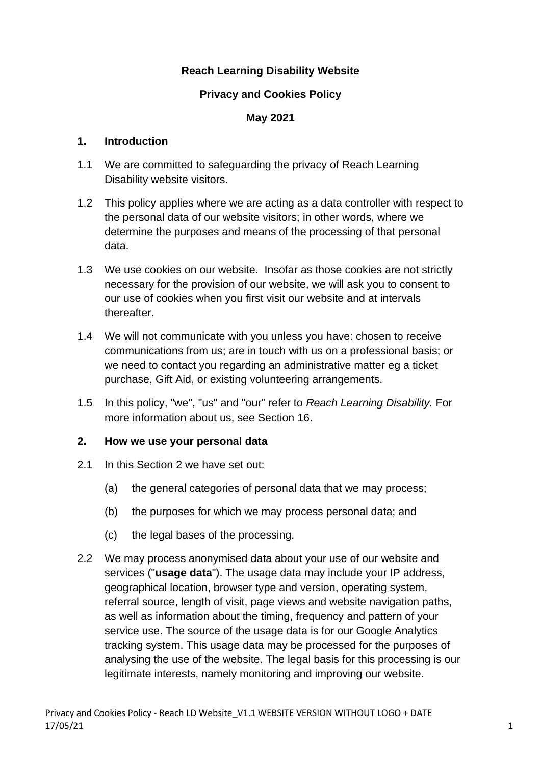### **Reach Learning Disability Website**

#### **Privacy and Cookies Policy**

#### **May 2021**

#### **1. Introduction**

- 1.1 We are committed to safeguarding the privacy of Reach Learning Disability website visitors.
- 1.2 This policy applies where we are acting as a data controller with respect to the personal data of our website visitors; in other words, where we determine the purposes and means of the processing of that personal data.
- 1.3 We use cookies on our website. Insofar as those cookies are not strictly necessary for the provision of our website, we will ask you to consent to our use of cookies when you first visit our website and at intervals thereafter.
- 1.4 We will not communicate with you unless you have: chosen to receive communications from us; are in touch with us on a professional basis; or we need to contact you regarding an administrative matter eg a ticket purchase, Gift Aid, or existing volunteering arrangements.
- 1.5 In this policy, "we", "us" and "our" refer to *Reach Learning Disability.* For more information about us, see Section 16.

### **2. How we use your personal data**

- 2.1 In this Section 2 we have set out:
	- (a) the general categories of personal data that we may process;
	- (b) the purposes for which we may process personal data; and
	- (c) the legal bases of the processing.
- 2.2 We may process anonymised data about your use of our website and services ("**usage data**"). The usage data may include your IP address, geographical location, browser type and version, operating system, referral source, length of visit, page views and website navigation paths, as well as information about the timing, frequency and pattern of your service use. The source of the usage data is for our Google Analytics tracking system. This usage data may be processed for the purposes of analysing the use of the website. The legal basis for this processing is our legitimate interests, namely monitoring and improving our website.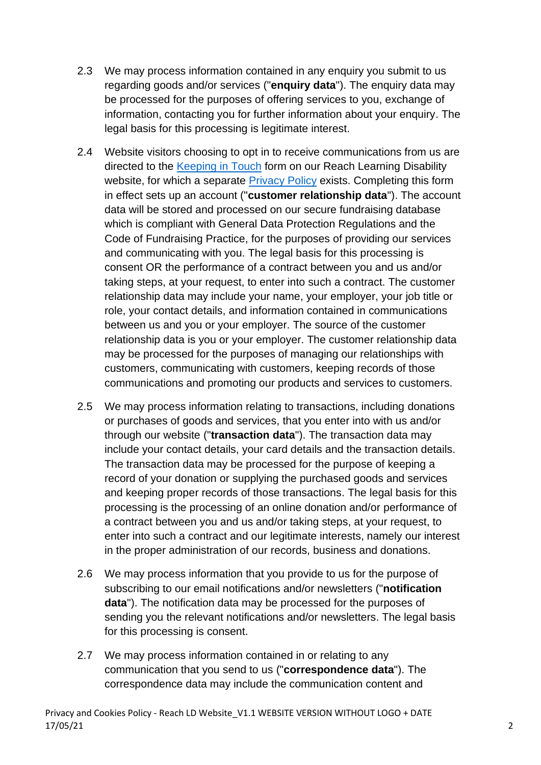- 2.3 We may process information contained in any enquiry you submit to us regarding goods and/or services ("**enquiry data**"). The enquiry data may be processed for the purposes of offering services to you, exchange of information, contacting you for further information about your enquiry. The legal basis for this processing is legitimate interest.
- 2.4 Website visitors choosing to opt in to receive communications from us are directed to the [Keeping in Touch](https://www.reachuk.org/opt-in/) form on our Reach Learning Disability website, for which a separate [Privacy Policy](https://reachuk.org/about/privacy/) exists. Completing this form in effect sets up an account ("**customer relationship data**"). The account data will be stored and processed on our secure fundraising database which is compliant with General Data Protection Regulations and the Code of Fundraising Practice, for the purposes of providing our services and communicating with you. The legal basis for this processing is consent OR the performance of a contract between you and us and/or taking steps, at your request, to enter into such a contract. The customer relationship data may include your name, your employer, your job title or role, your contact details, and information contained in communications between us and you or your employer. The source of the customer relationship data is you or your employer. The customer relationship data may be processed for the purposes of managing our relationships with customers, communicating with customers, keeping records of those communications and promoting our products and services to customers.
- 2.5 We may process information relating to transactions, including donations or purchases of goods and services, that you enter into with us and/or through our website ("**transaction data**"). The transaction data may include your contact details, your card details and the transaction details. The transaction data may be processed for the purpose of keeping a record of your donation or supplying the purchased goods and services and keeping proper records of those transactions. The legal basis for this processing is the processing of an online donation and/or performance of a contract between you and us and/or taking steps, at your request, to enter into such a contract and our legitimate interests, namely our interest in the proper administration of our records, business and donations.
- 2.6 We may process information that you provide to us for the purpose of subscribing to our email notifications and/or newsletters ("**notification data**"). The notification data may be processed for the purposes of sending you the relevant notifications and/or newsletters. The legal basis for this processing is consent.
- 2.7 We may process information contained in or relating to any communication that you send to us ("**correspondence data**"). The correspondence data may include the communication content and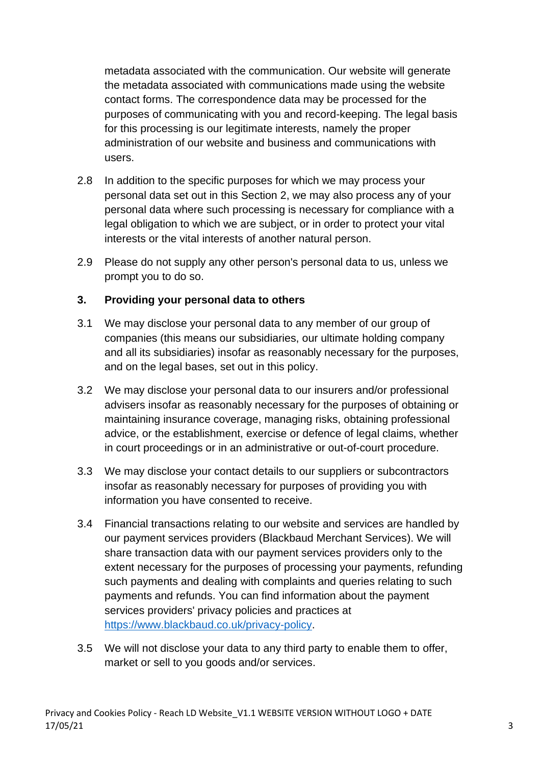metadata associated with the communication. Our website will generate the metadata associated with communications made using the website contact forms. The correspondence data may be processed for the purposes of communicating with you and record-keeping. The legal basis for this processing is our legitimate interests, namely the proper administration of our website and business and communications with users.

- 2.8 In addition to the specific purposes for which we may process your personal data set out in this Section 2, we may also process any of your personal data where such processing is necessary for compliance with a legal obligation to which we are subject, or in order to protect your vital interests or the vital interests of another natural person.
- 2.9 Please do not supply any other person's personal data to us, unless we prompt you to do so.

#### **3. Providing your personal data to others**

- 3.1 We may disclose your personal data to any member of our group of companies (this means our subsidiaries, our ultimate holding company and all its subsidiaries) insofar as reasonably necessary for the purposes, and on the legal bases, set out in this policy.
- 3.2 We may disclose your personal data to our insurers and/or professional advisers insofar as reasonably necessary for the purposes of obtaining or maintaining insurance coverage, managing risks, obtaining professional advice, or the establishment, exercise or defence of legal claims, whether in court proceedings or in an administrative or out-of-court procedure.
- 3.3 We may disclose your contact details to our suppliers or subcontractors insofar as reasonably necessary for purposes of providing you with information you have consented to receive.
- 3.4 Financial transactions relating to our website and services are handled by our payment services providers (Blackbaud Merchant Services). We will share transaction data with our payment services providers only to the extent necessary for the purposes of processing your payments, refunding such payments and dealing with complaints and queries relating to such payments and refunds. You can find information about the payment services providers' privacy policies and practices at [https://www.blackbaud.co.uk/privacy-policy.](https://www.blackbaud.co.uk/privacy-policy)
- 3.5 We will not disclose your data to any third party to enable them to offer, market or sell to you goods and/or services.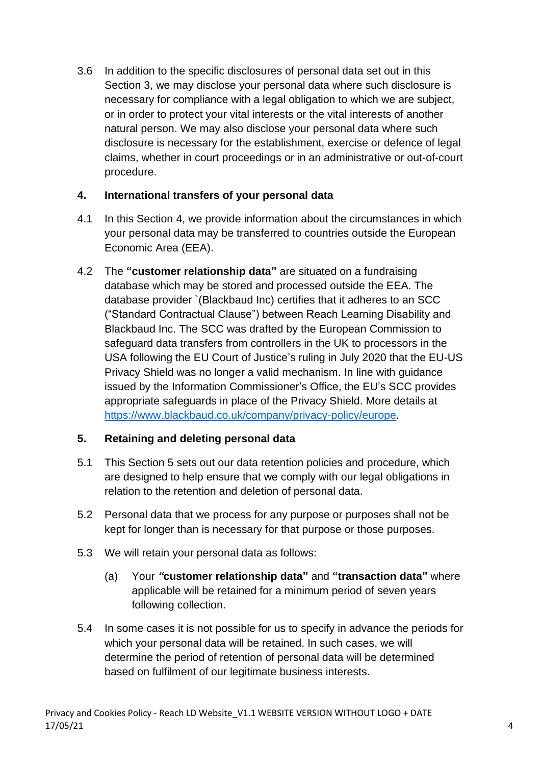3.6 In addition to the specific disclosures of personal data set out in this Section 3, we may disclose your personal data where such disclosure is necessary for compliance with a legal obligation to which we are subject, or in order to protect your vital interests or the vital interests of another natural person. We may also disclose your personal data where such disclosure is necessary for the establishment, exercise or defence of legal claims, whether in court proceedings or in an administrative or out-of-court procedure.

### **4. International transfers of your personal data**

- 4.1 In this Section 4, we provide information about the circumstances in which your personal data may be transferred to countries outside the European Economic Area (EEA).
- 4.2 The **"customer relationship data"** are situated on a fundraising database which may be stored and processed outside the EEA. The database provider `(Blackbaud Inc) certifies that it adheres to an SCC ("Standard Contractual Clause") between Reach Learning Disability and Blackbaud Inc. The SCC was drafted by the European Commission to safeguard data transfers from controllers in the UK to processors in the USA following the EU Court of Justice's ruling in July 2020 that the EU-US Privacy Shield was no longer a valid mechanism. In line with guidance issued by the Information Commissioner's Office, the EU's SCC provides appropriate safeguards in place of the Privacy Shield. More details at [https://www.blackbaud.co.uk/company/privacy-policy/europe.](https://www.blackbaud.co.uk/company/privacy-policy/europe)

# **5. Retaining and deleting personal data**

- 5.1 This Section 5 sets out our data retention policies and procedure, which are designed to help ensure that we comply with our legal obligations in relation to the retention and deletion of personal data.
- 5.2 Personal data that we process for any purpose or purposes shall not be kept for longer than is necessary for that purpose or those purposes.
- 5.3 We will retain your personal data as follows:
	- (a) Your *"***customer relationship data"** and **"transaction data"** where applicable will be retained for a minimum period of seven years following collection.
- 5.4 In some cases it is not possible for us to specify in advance the periods for which your personal data will be retained. In such cases, we will determine the period of retention of personal data will be determined based on fulfilment of our legitimate business interests.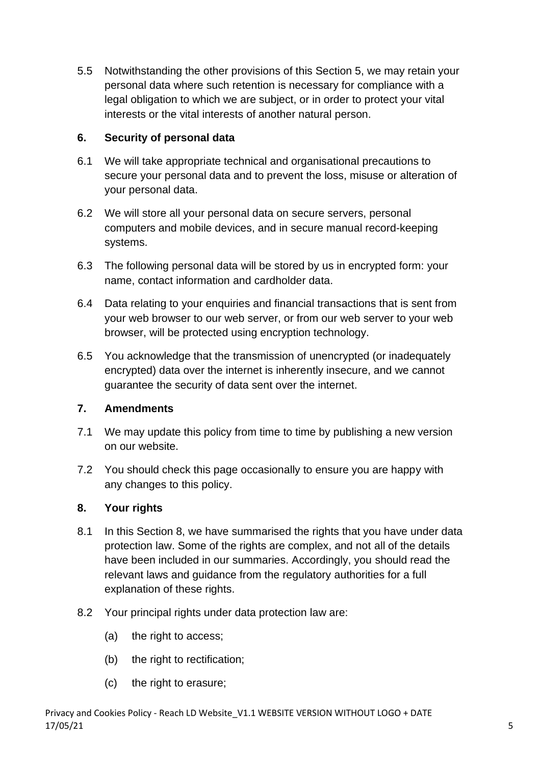5.5 Notwithstanding the other provisions of this Section 5, we may retain your personal data where such retention is necessary for compliance with a legal obligation to which we are subject, or in order to protect your vital interests or the vital interests of another natural person.

# **6. Security of personal data**

- 6.1 We will take appropriate technical and organisational precautions to secure your personal data and to prevent the loss, misuse or alteration of your personal data.
- 6.2 We will store all your personal data on secure servers, personal computers and mobile devices, and in secure manual record-keeping systems.
- 6.3 The following personal data will be stored by us in encrypted form: your name, contact information and cardholder data.
- 6.4 Data relating to your enquiries and financial transactions that is sent from your web browser to our web server, or from our web server to your web browser, will be protected using encryption technology.
- 6.5 You acknowledge that the transmission of unencrypted (or inadequately encrypted) data over the internet is inherently insecure, and we cannot guarantee the security of data sent over the internet.

### **7. Amendments**

- 7.1 We may update this policy from time to time by publishing a new version on our website.
- 7.2 You should check this page occasionally to ensure you are happy with any changes to this policy.

# **8. Your rights**

- 8.1 In this Section 8, we have summarised the rights that you have under data protection law. Some of the rights are complex, and not all of the details have been included in our summaries. Accordingly, you should read the relevant laws and guidance from the regulatory authorities for a full explanation of these rights.
- 8.2 Your principal rights under data protection law are:
	- (a) the right to access;
	- (b) the right to rectification;
	- (c) the right to erasure;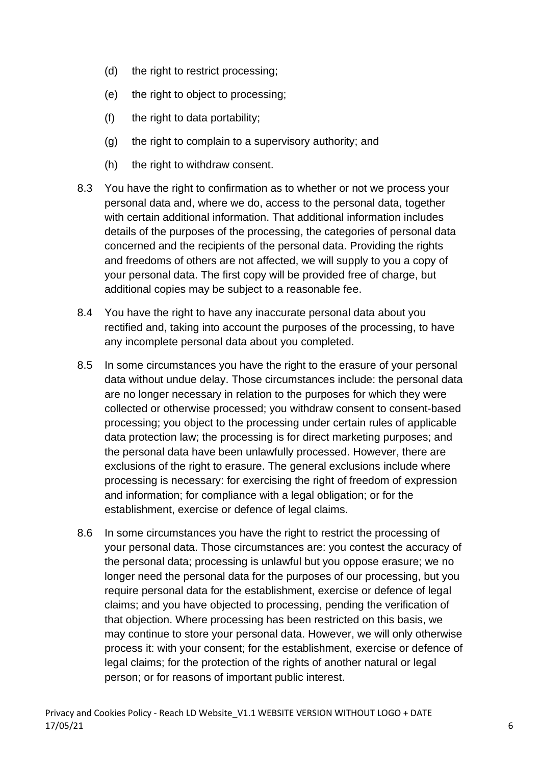- (d) the right to restrict processing;
- (e) the right to object to processing;
- (f) the right to data portability;
- (g) the right to complain to a supervisory authority; and
- (h) the right to withdraw consent.
- 8.3 You have the right to confirmation as to whether or not we process your personal data and, where we do, access to the personal data, together with certain additional information. That additional information includes details of the purposes of the processing, the categories of personal data concerned and the recipients of the personal data. Providing the rights and freedoms of others are not affected, we will supply to you a copy of your personal data. The first copy will be provided free of charge, but additional copies may be subject to a reasonable fee.
- 8.4 You have the right to have any inaccurate personal data about you rectified and, taking into account the purposes of the processing, to have any incomplete personal data about you completed.
- 8.5 In some circumstances you have the right to the erasure of your personal data without undue delay. Those circumstances include: the personal data are no longer necessary in relation to the purposes for which they were collected or otherwise processed; you withdraw consent to consent-based processing; you object to the processing under certain rules of applicable data protection law; the processing is for direct marketing purposes; and the personal data have been unlawfully processed. However, there are exclusions of the right to erasure. The general exclusions include where processing is necessary: for exercising the right of freedom of expression and information; for compliance with a legal obligation; or for the establishment, exercise or defence of legal claims.
- 8.6 In some circumstances you have the right to restrict the processing of your personal data. Those circumstances are: you contest the accuracy of the personal data; processing is unlawful but you oppose erasure; we no longer need the personal data for the purposes of our processing, but you require personal data for the establishment, exercise or defence of legal claims; and you have objected to processing, pending the verification of that objection. Where processing has been restricted on this basis, we may continue to store your personal data. However, we will only otherwise process it: with your consent; for the establishment, exercise or defence of legal claims; for the protection of the rights of another natural or legal person; or for reasons of important public interest.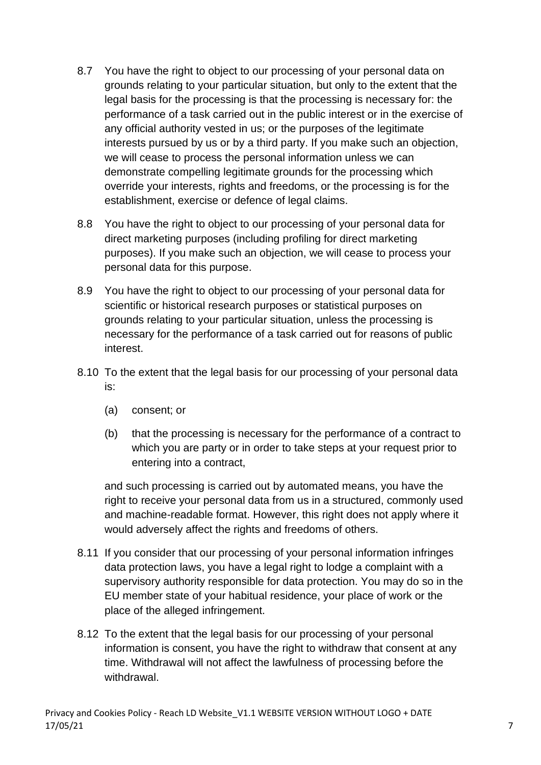- 8.7 You have the right to object to our processing of your personal data on grounds relating to your particular situation, but only to the extent that the legal basis for the processing is that the processing is necessary for: the performance of a task carried out in the public interest or in the exercise of any official authority vested in us; or the purposes of the legitimate interests pursued by us or by a third party. If you make such an objection, we will cease to process the personal information unless we can demonstrate compelling legitimate grounds for the processing which override your interests, rights and freedoms, or the processing is for the establishment, exercise or defence of legal claims.
- 8.8 You have the right to object to our processing of your personal data for direct marketing purposes (including profiling for direct marketing purposes). If you make such an objection, we will cease to process your personal data for this purpose.
- 8.9 You have the right to object to our processing of your personal data for scientific or historical research purposes or statistical purposes on grounds relating to your particular situation, unless the processing is necessary for the performance of a task carried out for reasons of public interest.
- 8.10 To the extent that the legal basis for our processing of your personal data is:
	- (a) consent; or
	- (b) that the processing is necessary for the performance of a contract to which you are party or in order to take steps at your request prior to entering into a contract,

and such processing is carried out by automated means, you have the right to receive your personal data from us in a structured, commonly used and machine-readable format. However, this right does not apply where it would adversely affect the rights and freedoms of others.

- 8.11 If you consider that our processing of your personal information infringes data protection laws, you have a legal right to lodge a complaint with a supervisory authority responsible for data protection. You may do so in the EU member state of your habitual residence, your place of work or the place of the alleged infringement.
- 8.12 To the extent that the legal basis for our processing of your personal information is consent, you have the right to withdraw that consent at any time. Withdrawal will not affect the lawfulness of processing before the withdrawal.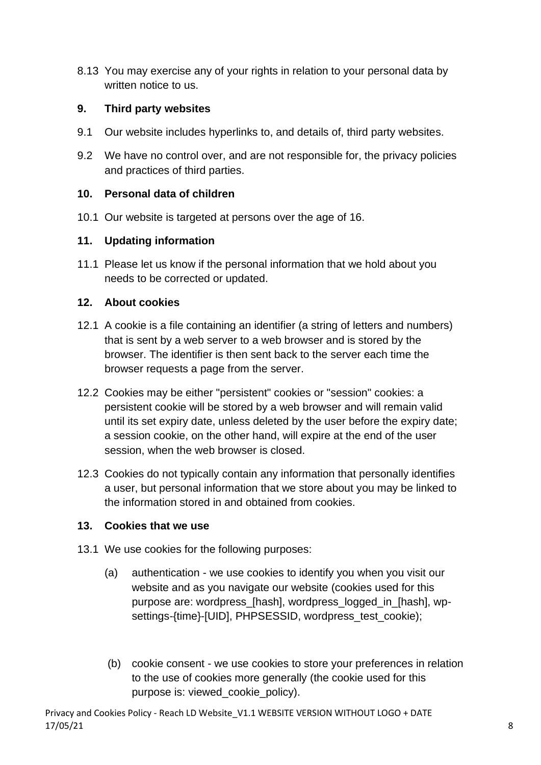8.13 You may exercise any of your rights in relation to your personal data by written notice to us.

# **9. Third party websites**

- 9.1 Our website includes hyperlinks to, and details of, third party websites.
- 9.2 We have no control over, and are not responsible for, the privacy policies and practices of third parties.

# **10. Personal data of children**

10.1 Our website is targeted at persons over the age of 16.

# **11. Updating information**

11.1 Please let us know if the personal information that we hold about you needs to be corrected or updated.

### **12. About cookies**

- 12.1 A cookie is a file containing an identifier (a string of letters and numbers) that is sent by a web server to a web browser and is stored by the browser. The identifier is then sent back to the server each time the browser requests a page from the server.
- 12.2 Cookies may be either "persistent" cookies or "session" cookies: a persistent cookie will be stored by a web browser and will remain valid until its set expiry date, unless deleted by the user before the expiry date; a session cookie, on the other hand, will expire at the end of the user session, when the web browser is closed.
- 12.3 Cookies do not typically contain any information that personally identifies a user, but personal information that we store about you may be linked to the information stored in and obtained from cookies.

### **13. Cookies that we use**

- 13.1 We use cookies for the following purposes:
	- (a) authentication we use cookies to identify you when you visit our website and as you navigate our website (cookies used for this purpose are: wordpress [hash], wordpress\_logged\_in\_[hash], wpsettings-{time}-[UID], PHPSESSID, wordpress\_test\_cookie);
	- (b) cookie consent we use cookies to store your preferences in relation to the use of cookies more generally (the cookie used for this purpose is: viewed\_cookie\_policy).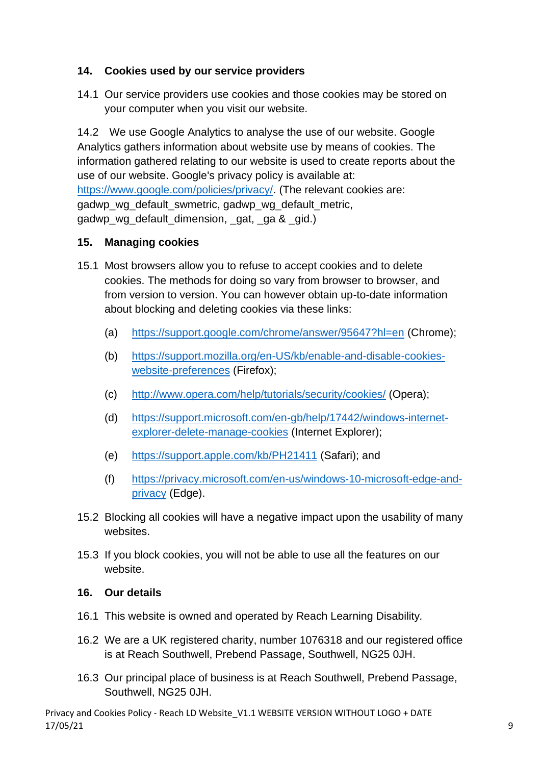# **14. Cookies used by our service providers**

14.1 Our service providers use cookies and those cookies may be stored on your computer when you visit our website.

14.2 We use Google Analytics to analyse the use of our website. Google Analytics gathers information about website use by means of cookies. The information gathered relating to our website is used to create reports about the use of our website. Google's privacy policy is available at: [https://www.google.com/policies/privacy/.](https://www.google.com/policies/privacy/) (The relevant cookies are: gadwp wg default swmetric, gadwp wg default metric, gadwp\_wg\_default\_dimension, \_gat, \_ga & \_gid.)

### **15. Managing cookies**

- 15.1 Most browsers allow you to refuse to accept cookies and to delete cookies. The methods for doing so vary from browser to browser, and from version to version. You can however obtain up-to-date information about blocking and deleting cookies via these links:
	- (a) <https://support.google.com/chrome/answer/95647?hl=en> (Chrome);
	- (b) [https://support.mozilla.org/en-US/kb/enable-and-disable-cookies](https://support.mozilla.org/en-US/kb/enable-and-disable-cookies-website-preferences)[website-preferences](https://support.mozilla.org/en-US/kb/enable-and-disable-cookies-website-preferences) (Firefox);
	- (c) <http://www.opera.com/help/tutorials/security/cookies/> (Opera);
	- (d) [https://support.microsoft.com/en-gb/help/17442/windows-internet](https://support.microsoft.com/en-gb/help/17442/windows-internet-explorer-delete-manage-cookies)[explorer-delete-manage-cookies](https://support.microsoft.com/en-gb/help/17442/windows-internet-explorer-delete-manage-cookies) (Internet Explorer);
	- (e) <https://support.apple.com/kb/PH21411> (Safari); and
	- (f) [https://privacy.microsoft.com/en-us/windows-10-microsoft-edge-and](https://privacy.microsoft.com/en-us/windows-10-microsoft-edge-and-privacy)[privacy](https://privacy.microsoft.com/en-us/windows-10-microsoft-edge-and-privacy) (Edge).
- 15.2 Blocking all cookies will have a negative impact upon the usability of many websites.
- 15.3 If you block cookies, you will not be able to use all the features on our website.

#### **16. Our details**

- 16.1 This website is owned and operated by Reach Learning Disability*.*
- 16.2 We are a UK registered charity, number 1076318 and our registered office is at Reach Southwell, Prebend Passage, Southwell, NG25 0JH.
- 16.3 Our principal place of business is at Reach Southwell, Prebend Passage, Southwell, NG25 0JH.